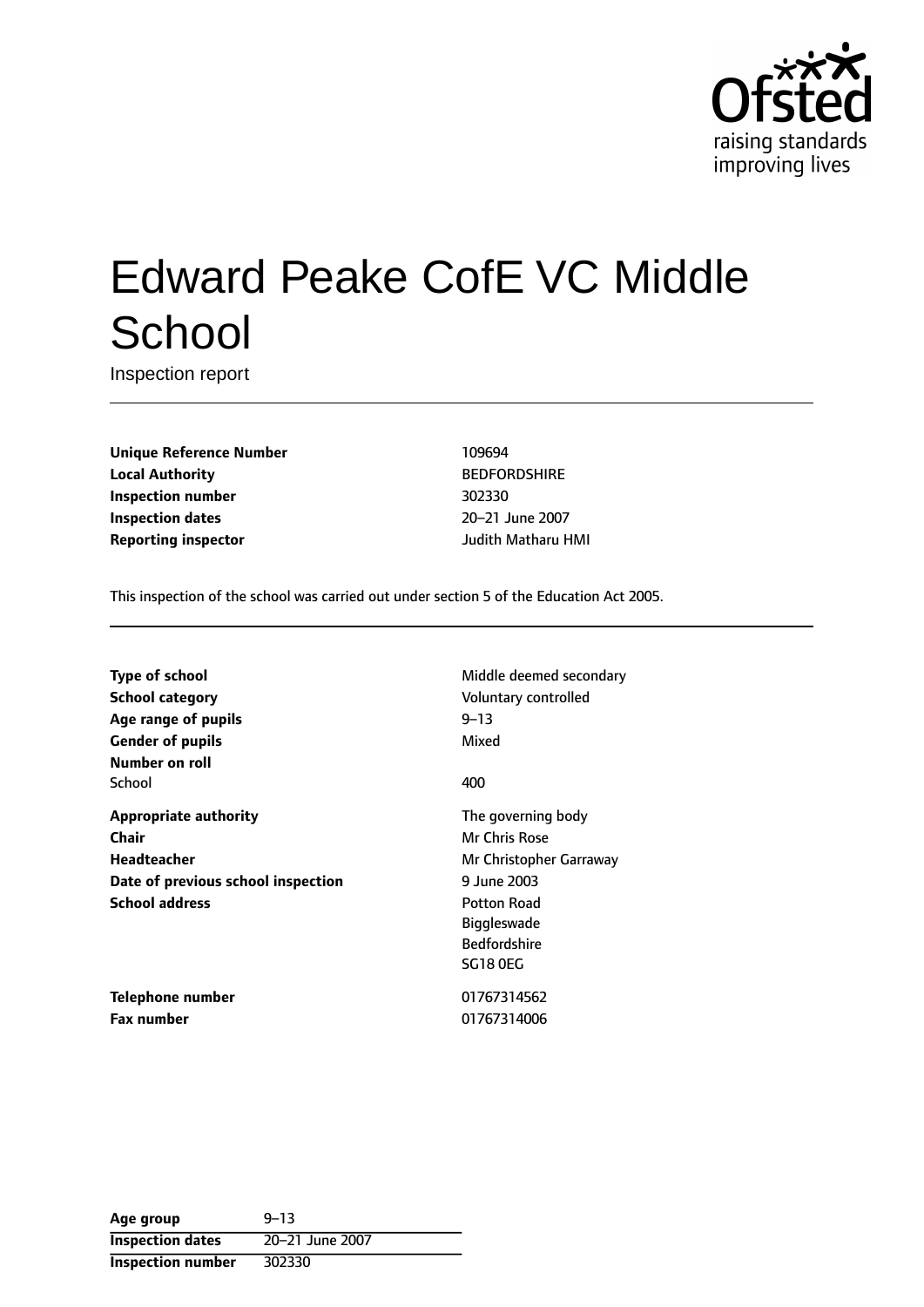

# Edward Peake CofE VC Middle **School**

Inspection report

**Unique Reference Number** 109694 **Local Authority** BEDFORDSHIRE **Inspection number** 302330 **Inspection dates** 20-21 June 2007 **Reporting inspector** Judith Matharu HMI

This inspection of the school was carried out under section 5 of the Education Act 2005.

**School category CONSERVING CONSERVING VOLUTION** Voluntary controlled **Age** range of pupils **1944 1945 1946 1948 Gender of pupils** Mixed **Number on roll** School **400** 

**Chair** Mr Chris Rose **Headteacher** Mr Christopher Garraway **Date of previous school inspection** 9 June 2003 **School address Potton Road** 

**Type of school** Middle deemed secondary

**Appropriate authority** The governing body Biggleswade Bedfordshire SG18 0EG

**Telephone number** 01767314562 **Fax number** 01767314006

Age group **9-13 Inspection dates** 20-21 June 2007 **Inspection number** 302330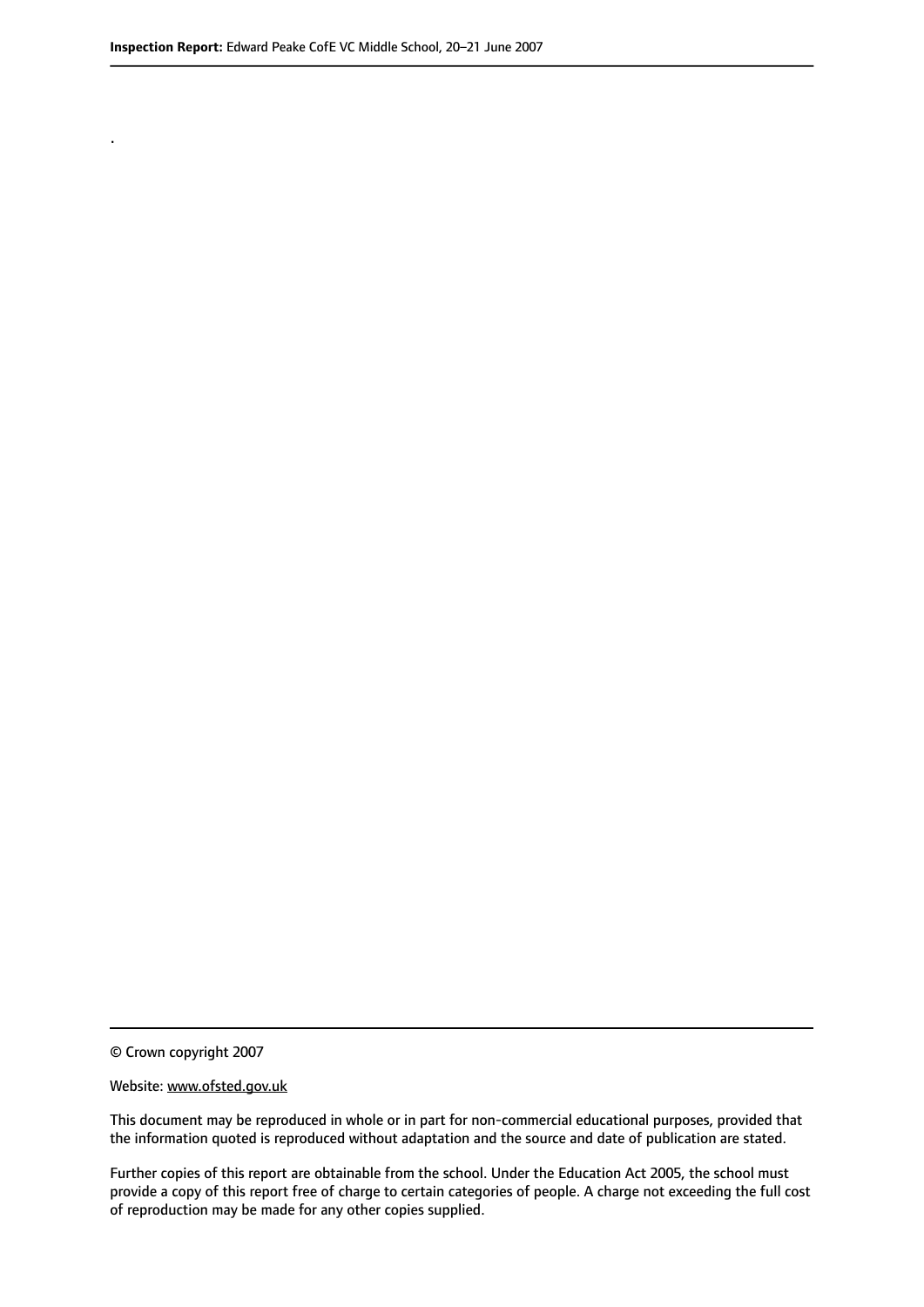.

© Crown copyright 2007

#### Website: www.ofsted.gov.uk

This document may be reproduced in whole or in part for non-commercial educational purposes, provided that the information quoted is reproduced without adaptation and the source and date of publication are stated.

Further copies of this report are obtainable from the school. Under the Education Act 2005, the school must provide a copy of this report free of charge to certain categories of people. A charge not exceeding the full cost of reproduction may be made for any other copies supplied.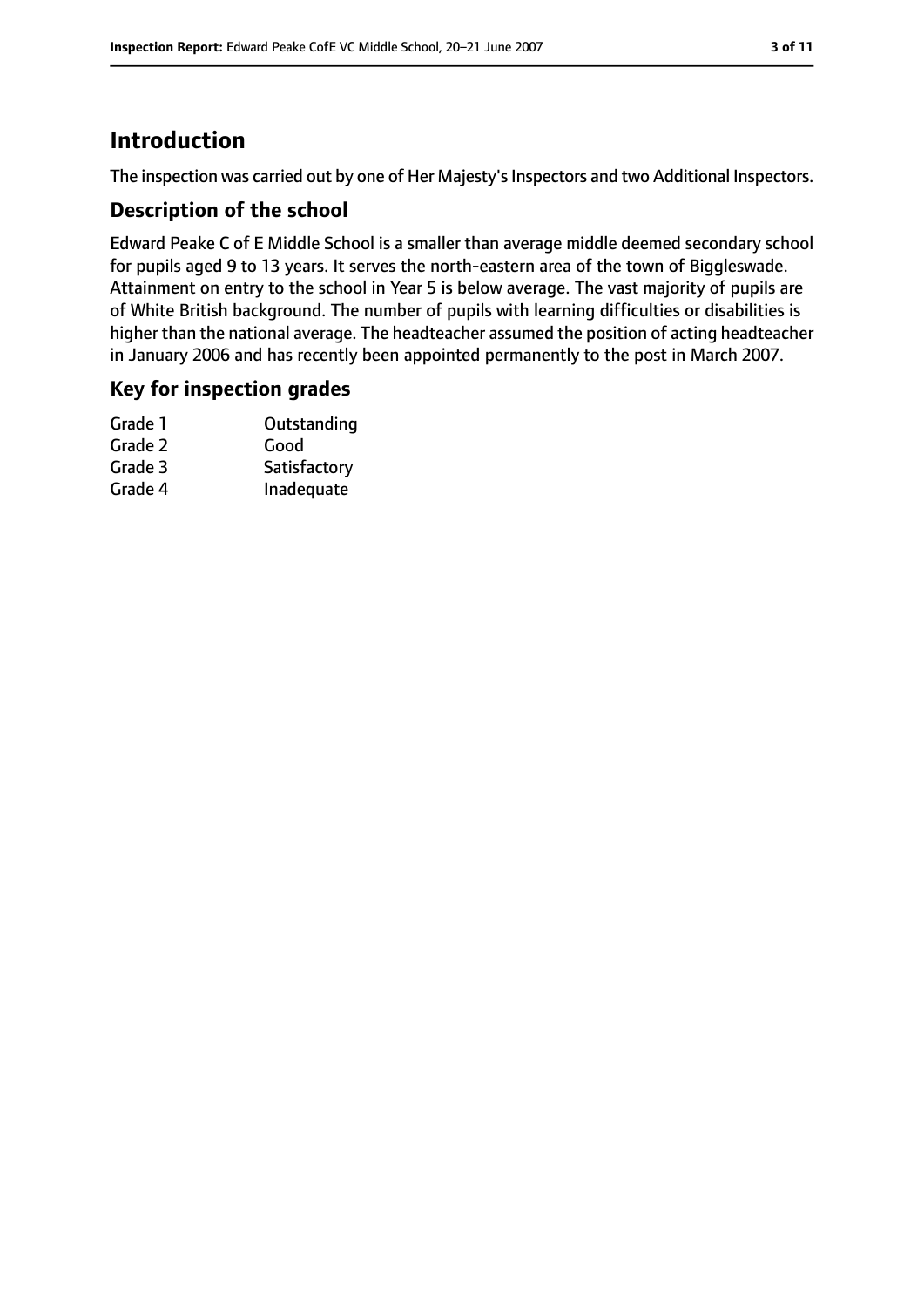## **Introduction**

The inspection was carried out by one of Her Majesty's Inspectors and two Additional Inspectors.

#### **Description of the school**

Edward Peake C of E Middle School is a smaller than average middle deemed secondary school for pupils aged 9 to 13 years. It serves the north-eastern area of the town of Biggleswade. Attainment on entry to the school in Year 5 is below average. The vast majority of pupils are of White British background. The number of pupils with learning difficulties or disabilities is higher than the national average. The headteacher assumed the position of acting headteacher in January 2006 and has recently been appointed permanently to the post in March 2007.

#### **Key for inspection grades**

| Grade 1 | Outstanding  |
|---------|--------------|
| Grade 2 | Good         |
| Grade 3 | Satisfactory |
| Grade 4 | Inadequate   |
|         |              |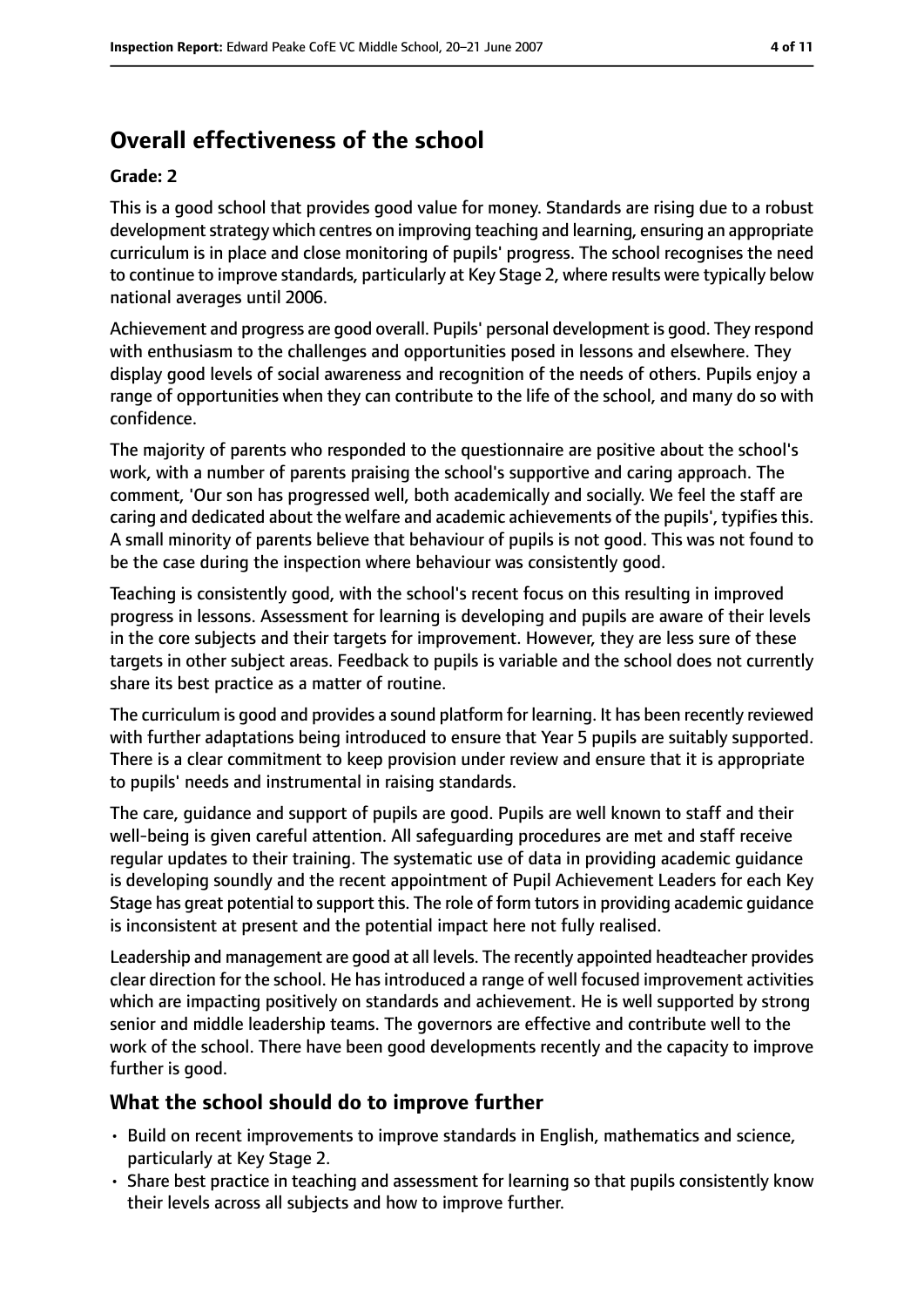# **Overall effectiveness of the school**

#### **Grade: 2**

This is a good school that provides good value for money. Standards are rising due to a robust development strategy which centres on improving teaching and learning, ensuring an appropriate curriculum is in place and close monitoring of pupils' progress. The school recognises the need to continue to improve standards, particularly at Key Stage 2, where results were typically below national averages until 2006.

Achievement and progress are good overall. Pupils' personal development is good. They respond with enthusiasm to the challenges and opportunities posed in lessons and elsewhere. They display good levels of social awareness and recognition of the needs of others. Pupils enjoy a range of opportunities when they can contribute to the life of the school, and many do so with confidence.

The majority of parents who responded to the questionnaire are positive about the school's work, with a number of parents praising the school's supportive and caring approach. The comment, 'Our son has progressed well, both academically and socially. We feel the staff are caring and dedicated about the welfare and academic achievements of the pupils', typifies this. A small minority of parents believe that behaviour of pupils is not good. This was not found to be the case during the inspection where behaviour was consistently good.

Teaching is consistently good, with the school's recent focus on this resulting in improved progress in lessons. Assessment for learning is developing and pupils are aware of their levels in the core subjects and their targets for improvement. However, they are less sure of these targets in other subject areas. Feedback to pupils is variable and the school does not currently share its best practice as a matter of routine.

The curriculum is good and provides a sound platform for learning. It has been recently reviewed with further adaptations being introduced to ensure that Year 5 pupils are suitably supported. There is a clear commitment to keep provision under review and ensure that it is appropriate to pupils' needs and instrumental in raising standards.

The care, guidance and support of pupils are good. Pupils are well known to staff and their well-being is given careful attention. All safeguarding procedures are met and staff receive regular updates to their training. The systematic use of data in providing academic guidance is developing soundly and the recent appointment of Pupil Achievement Leaders for each Key Stage has great potential to support this. The role of form tutorsin providing academic guidance is inconsistent at present and the potential impact here not fully realised.

Leadership and management are good at all levels. The recently appointed headteacher provides clear direction for the school. He has introduced a range of well focused improvement activities which are impacting positively on standards and achievement. He is well supported by strong senior and middle leadership teams. The governors are effective and contribute well to the work of the school. There have been good developments recently and the capacity to improve further is good.

### **What the school should do to improve further**

- Build on recent improvements to improve standards in English, mathematics and science, particularly at Key Stage 2.
- Share best practice in teaching and assessment for learning so that pupils consistently know their levels across all subjects and how to improve further.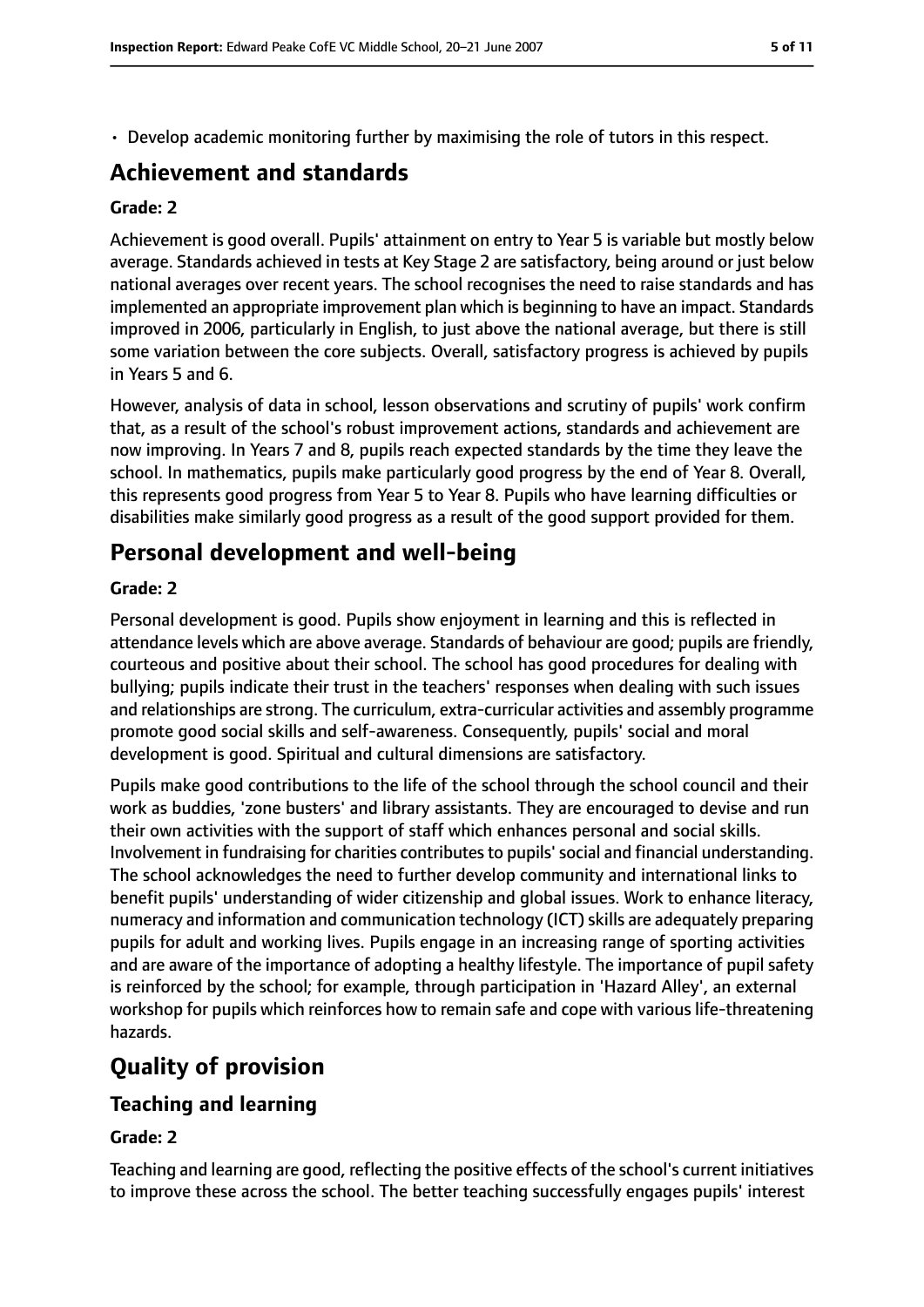• Develop academic monitoring further by maximising the role of tutors in this respect.

# **Achievement and standards**

#### **Grade: 2**

Achievement is good overall. Pupils' attainment on entry to Year 5 is variable but mostly below average. Standards achieved in tests at Key Stage 2 are satisfactory, being around or just below national averages over recent years. The school recognises the need to raise standards and has implemented an appropriate improvement plan which is beginning to have an impact. Standards improved in 2006, particularly in English, to just above the national average, but there is still some variation between the core subjects. Overall, satisfactory progress is achieved by pupils in Years 5 and 6.

However, analysis of data in school, lesson observations and scrutiny of pupils' work confirm that, as a result of the school's robust improvement actions, standards and achievement are now improving. In Years 7 and 8, pupils reach expected standards by the time they leave the school. In mathematics, pupils make particularly good progress by the end of Year 8. Overall, this represents good progress from Year 5 to Year 8. Pupils who have learning difficulties or disabilities make similarly good progress as a result of the good support provided for them.

## **Personal development and well-being**

#### **Grade: 2**

Personal development is good. Pupils show enjoyment in learning and this is reflected in attendance levels which are above average. Standards of behaviour are good; pupils are friendly, courteous and positive about their school. The school has good procedures for dealing with bullying; pupils indicate their trust in the teachers' responses when dealing with such issues and relationships are strong. The curriculum, extra-curricular activities and assembly programme promote good social skills and self-awareness. Consequently, pupils' social and moral development is good. Spiritual and cultural dimensions are satisfactory.

Pupils make good contributions to the life of the school through the school council and their work as buddies, 'zone busters' and library assistants. They are encouraged to devise and run their own activities with the support of staff which enhances personal and social skills. Involvement in fundraising for charities contributesto pupils'social and financial understanding. The school acknowledges the need to further develop community and international links to benefit pupils' understanding of wider citizenship and global issues. Work to enhance literacy, numeracy and information and communication technology (ICT) skills are adequately preparing pupils for adult and working lives. Pupils engage in an increasing range of sporting activities and are aware of the importance of adopting a healthy lifestyle. The importance of pupil safety is reinforced by the school; for example, through participation in 'Hazard Alley', an external workshop for pupils which reinforces how to remain safe and cope with various life-threatening hazards.

## **Quality of provision**

### **Teaching and learning**

#### **Grade: 2**

Teaching and learning are good, reflecting the positive effects of the school's current initiatives to improve these across the school. The better teaching successfully engages pupils' interest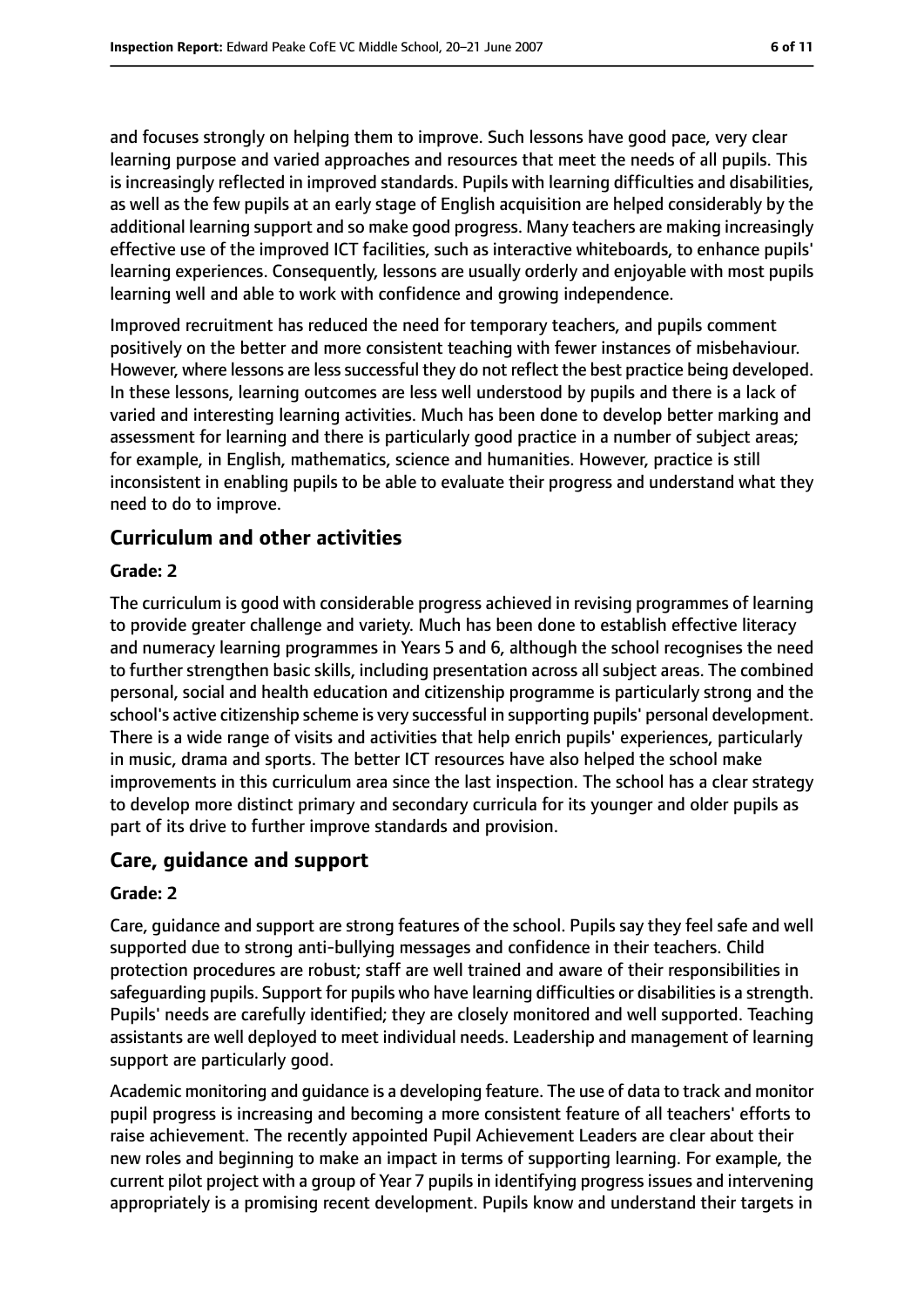and focuses strongly on helping them to improve. Such lessons have good pace, very clear learning purpose and varied approaches and resources that meet the needs of all pupils. This is increasingly reflected in improved standards. Pupils with learning difficulties and disabilities, as well as the few pupils at an early stage of English acquisition are helped considerably by the additional learning support and so make good progress. Many teachers are making increasingly effective use of the improved ICT facilities, such as interactive whiteboards, to enhance pupils' learning experiences. Consequently, lessons are usually orderly and enjoyable with most pupils learning well and able to work with confidence and growing independence.

Improved recruitment has reduced the need for temporary teachers, and pupils comment positively on the better and more consistent teaching with fewer instances of misbehaviour. However, where lessons are less successful they do not reflect the best practice being developed. In these lessons, learning outcomes are less well understood by pupils and there is a lack of varied and interesting learning activities. Much has been done to develop better marking and assessment for learning and there is particularly good practice in a number of subject areas; for example, in English, mathematics, science and humanities. However, practice is still inconsistent in enabling pupils to be able to evaluate their progress and understand what they need to do to improve.

#### **Curriculum and other activities**

#### **Grade: 2**

The curriculum is good with considerable progress achieved in revising programmes of learning to provide greater challenge and variety. Much has been done to establish effective literacy and numeracy learning programmes in Years 5 and 6, although the school recognises the need to further strengthen basic skills, including presentation across all subject areas. The combined personal, social and health education and citizenship programme is particularly strong and the school's active citizenship scheme is very successful in supporting pupils' personal development. There is a wide range of visits and activities that help enrich pupils' experiences, particularly in music, drama and sports. The better ICT resources have also helped the school make improvements in this curriculum area since the last inspection. The school has a clear strategy to develop more distinct primary and secondary curricula for its younger and older pupils as part of its drive to further improve standards and provision.

#### **Care, guidance and support**

#### **Grade: 2**

Care, guidance and support are strong features of the school. Pupils say they feel safe and well supported due to strong anti-bullying messages and confidence in their teachers. Child protection procedures are robust; staff are well trained and aware of their responsibilities in safeguarding pupils. Support for pupils who have learning difficulties or disabilities is a strength. Pupils' needs are carefully identified; they are closely monitored and well supported. Teaching assistants are well deployed to meet individual needs. Leadership and management of learning support are particularly good.

Academic monitoring and guidance is a developing feature. The use of data to track and monitor pupil progress is increasing and becoming a more consistent feature of all teachers' efforts to raise achievement. The recently appointed Pupil Achievement Leaders are clear about their new roles and beginning to make an impact in terms of supporting learning. For example, the current pilot project with a group of Year 7 pupils in identifying progress issues and intervening appropriately is a promising recent development. Pupils know and understand their targets in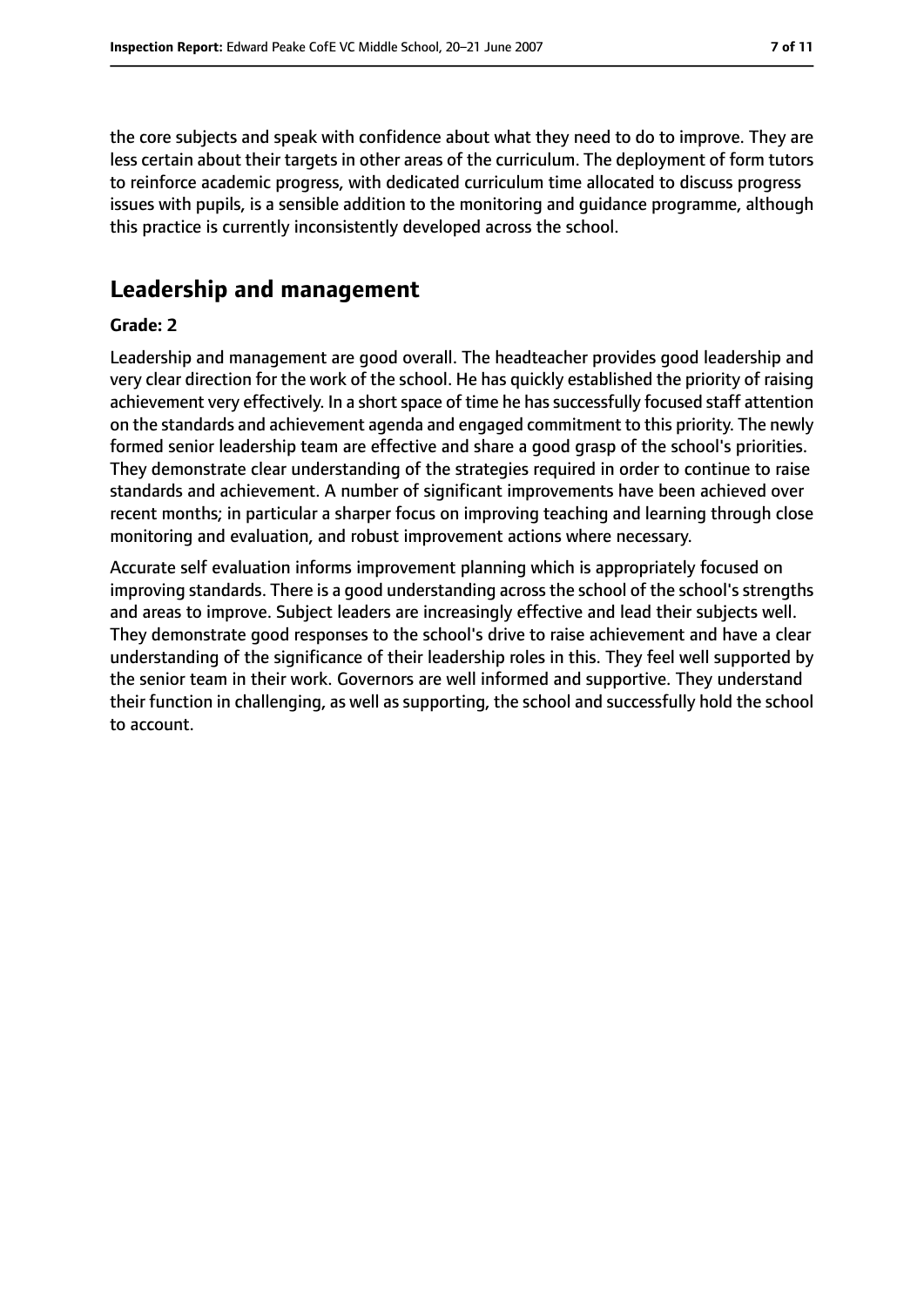the core subjects and speak with confidence about what they need to do to improve. They are less certain about their targets in other areas of the curriculum. The deployment of form tutors to reinforce academic progress, with dedicated curriculum time allocated to discuss progress issues with pupils, is a sensible addition to the monitoring and guidance programme, although this practice is currently inconsistently developed across the school.

## **Leadership and management**

#### **Grade: 2**

Leadership and management are good overall. The headteacher provides good leadership and very clear direction for the work of the school. He has quickly established the priority of raising achievement very effectively. In a short space of time he has successfully focused staff attention on the standards and achievement agenda and engaged commitment to this priority. The newly formed senior leadership team are effective and share a good grasp of the school's priorities. They demonstrate clear understanding of the strategies required in order to continue to raise standards and achievement. A number of significant improvements have been achieved over recent months; in particular a sharper focus on improving teaching and learning through close monitoring and evaluation, and robust improvement actions where necessary.

Accurate self evaluation informs improvement planning which is appropriately focused on improving standards. There is a good understanding across the school of the school's strengths and areas to improve. Subject leaders are increasingly effective and lead their subjects well. They demonstrate good responses to the school's drive to raise achievement and have a clear understanding of the significance of their leadership roles in this. They feel well supported by the senior team in their work. Governors are well informed and supportive. They understand their function in challenging, as well as supporting, the school and successfully hold the school to account.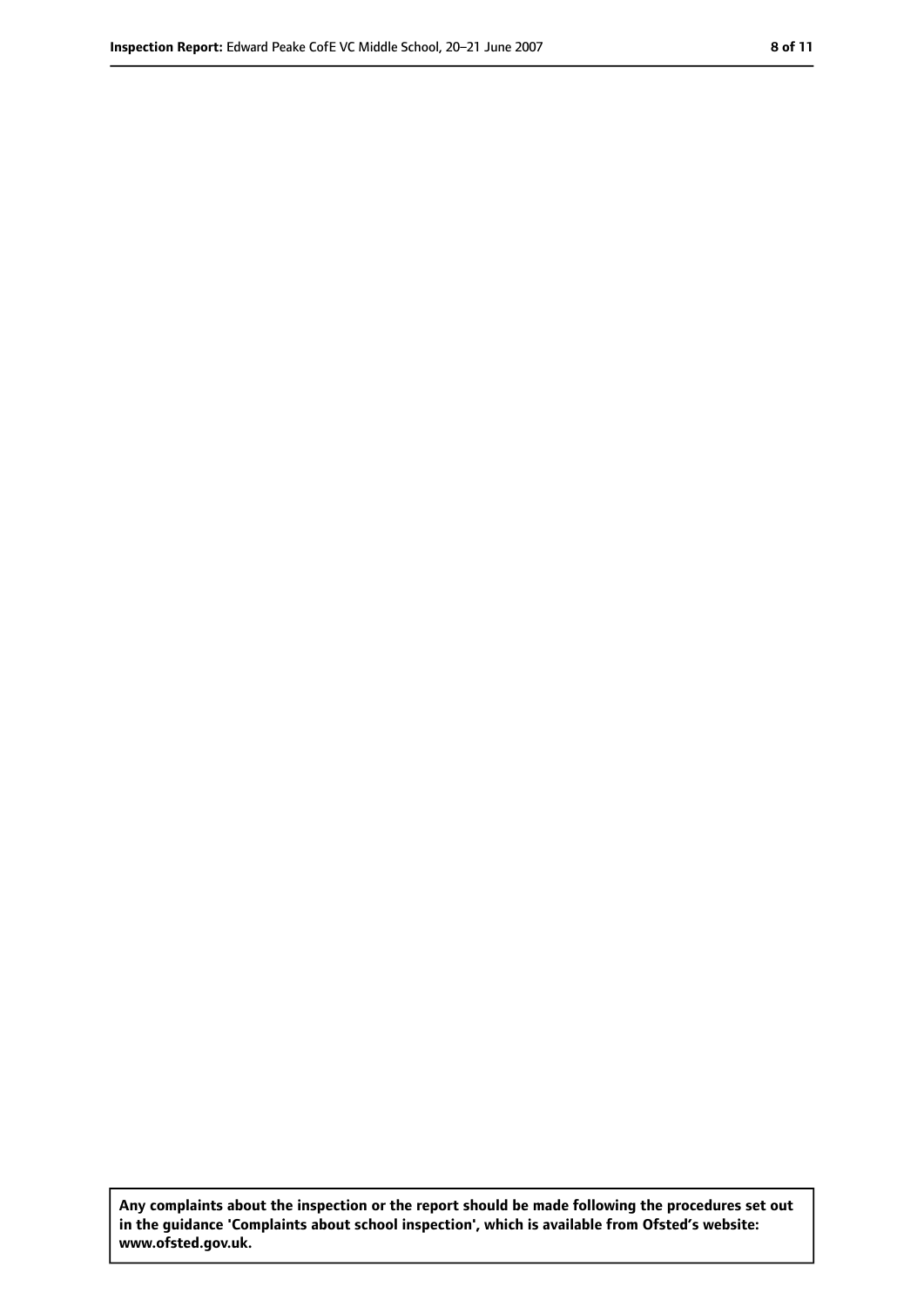**Any complaints about the inspection or the report should be made following the procedures set out in the guidance 'Complaints about school inspection', which is available from Ofsted's website: www.ofsted.gov.uk.**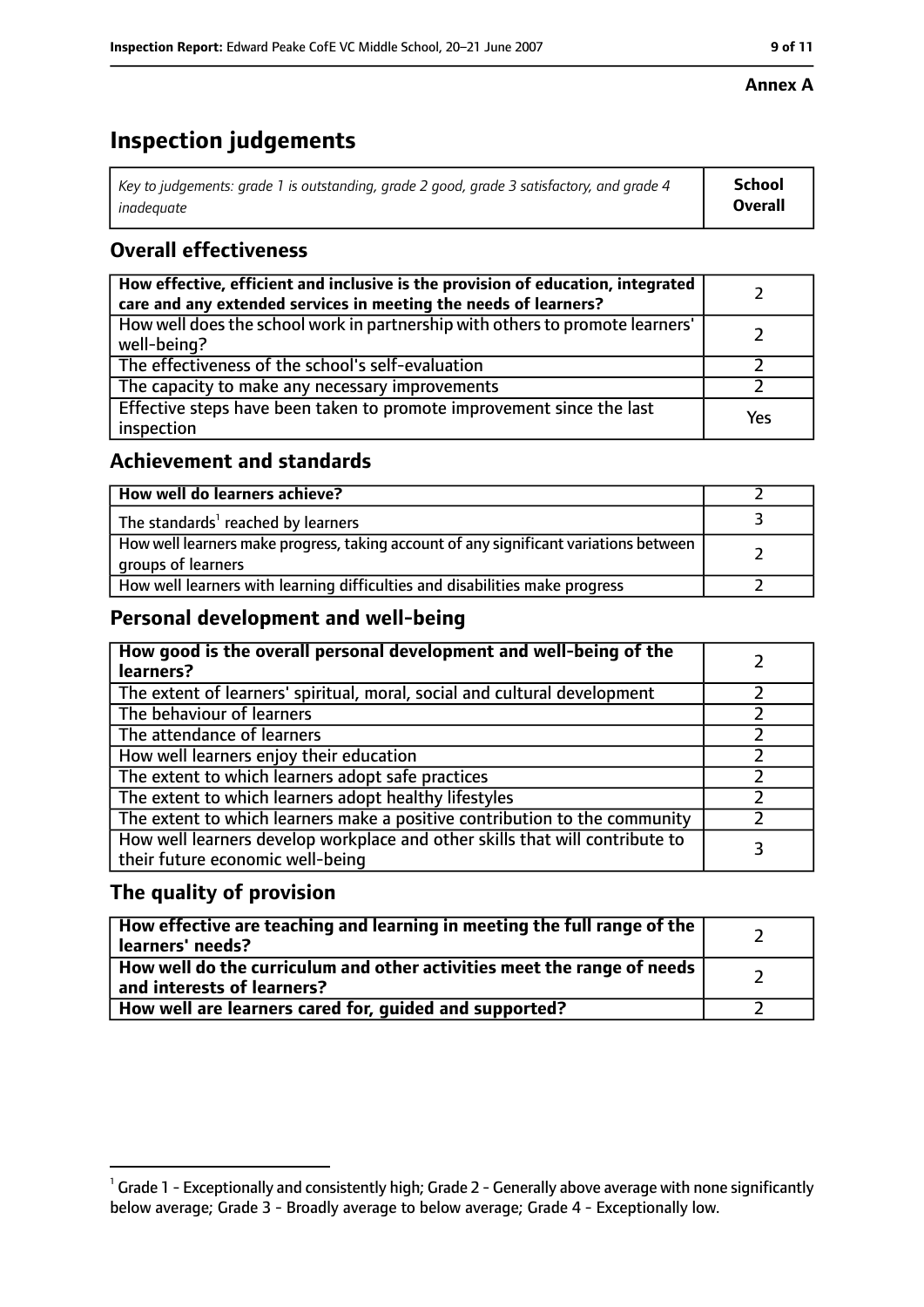#### **Annex A**

# **Inspection judgements**

| Key to judgements: grade 1 is outstanding, grade 2 good, grade 3 satisfactory, and grade 4 | School         |
|--------------------------------------------------------------------------------------------|----------------|
| inadeauate                                                                                 | <b>Overall</b> |

## **Overall effectiveness**

| How effective, efficient and inclusive is the provision of education, integrated<br>care and any extended services in meeting the needs of learners? |     |
|------------------------------------------------------------------------------------------------------------------------------------------------------|-----|
| How well does the school work in partnership with others to promote learners'<br>well-being?                                                         |     |
| The effectiveness of the school's self-evaluation                                                                                                    |     |
| The capacity to make any necessary improvements                                                                                                      |     |
| Effective steps have been taken to promote improvement since the last<br>inspection                                                                  | Yes |

#### **Achievement and standards**

| How well do learners achieve?                                                                               |  |
|-------------------------------------------------------------------------------------------------------------|--|
| The standards <sup>1</sup> reached by learners                                                              |  |
| How well learners make progress, taking account of any significant variations between<br>groups of learners |  |
| How well learners with learning difficulties and disabilities make progress                                 |  |

### **Personal development and well-being**

| How good is the overall personal development and well-being of the<br>learners?                                  |  |
|------------------------------------------------------------------------------------------------------------------|--|
| The extent of learners' spiritual, moral, social and cultural development                                        |  |
| The behaviour of learners                                                                                        |  |
| The attendance of learners                                                                                       |  |
| How well learners enjoy their education                                                                          |  |
| The extent to which learners adopt safe practices                                                                |  |
| The extent to which learners adopt healthy lifestyles                                                            |  |
| The extent to which learners make a positive contribution to the community                                       |  |
| How well learners develop workplace and other skills that will contribute to<br>their future economic well-being |  |

#### **The quality of provision**

| How effective are teaching and learning in meeting the full range of the<br>learners' needs?          |  |
|-------------------------------------------------------------------------------------------------------|--|
| How well do the curriculum and other activities meet the range of needs<br>and interests of learners? |  |
| How well are learners cared for, quided and supported?                                                |  |

 $^1$  Grade 1 - Exceptionally and consistently high; Grade 2 - Generally above average with none significantly below average; Grade 3 - Broadly average to below average; Grade 4 - Exceptionally low.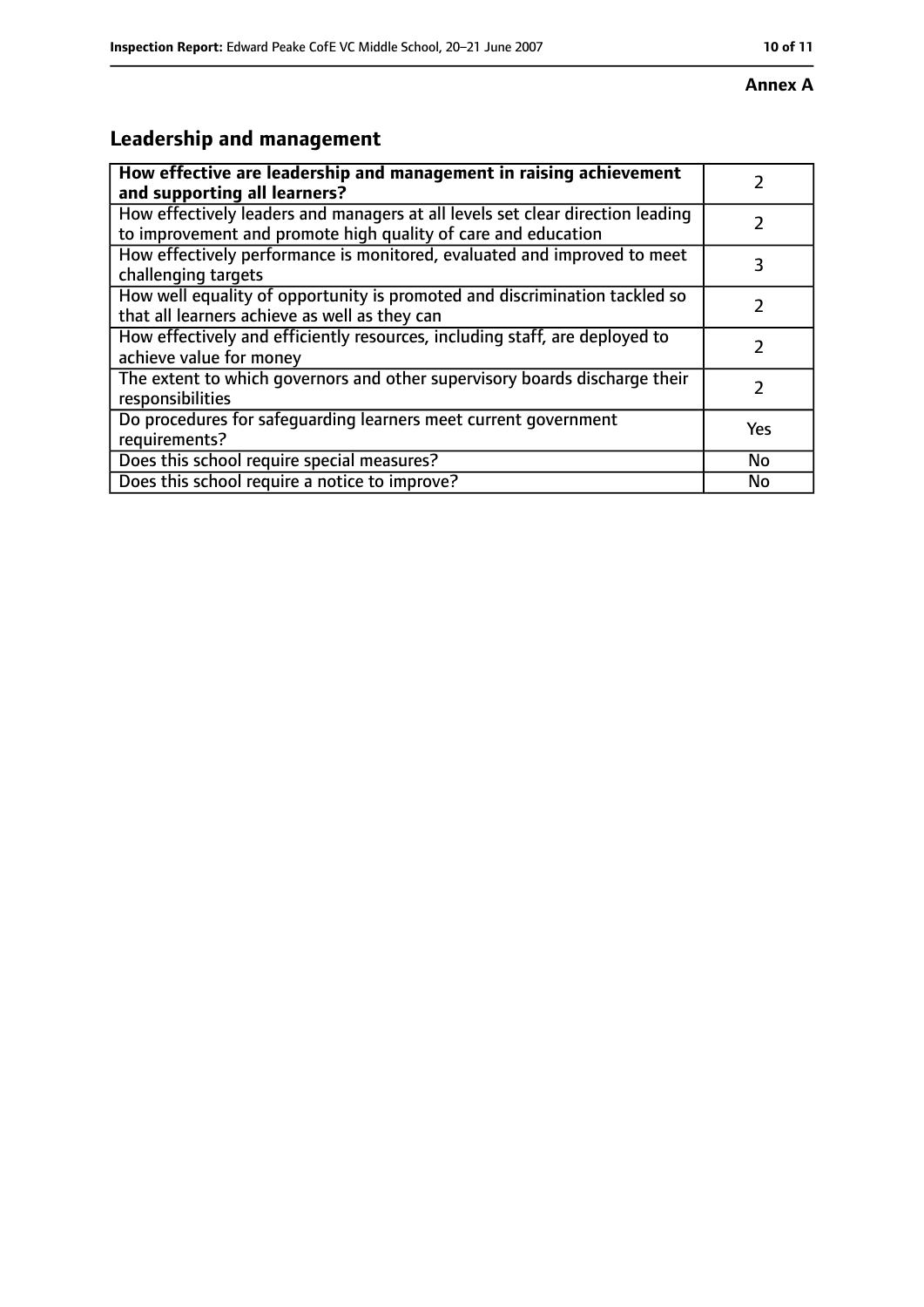#### **Annex A**

# **Leadership and management**

| How effective are leadership and management in raising achievement<br>and supporting all learners?                                              |           |
|-------------------------------------------------------------------------------------------------------------------------------------------------|-----------|
| How effectively leaders and managers at all levels set clear direction leading<br>to improvement and promote high quality of care and education |           |
| How effectively performance is monitored, evaluated and improved to meet<br>challenging targets                                                 | 3         |
| How well equality of opportunity is promoted and discrimination tackled so<br>that all learners achieve as well as they can                     |           |
| How effectively and efficiently resources, including staff, are deployed to<br>achieve value for money                                          |           |
| The extent to which governors and other supervisory boards discharge their<br>responsibilities                                                  | 7         |
| Do procedures for safequarding learners meet current government<br>requirements?                                                                | Yes       |
| Does this school require special measures?                                                                                                      | <b>No</b> |
| Does this school require a notice to improve?                                                                                                   | No        |